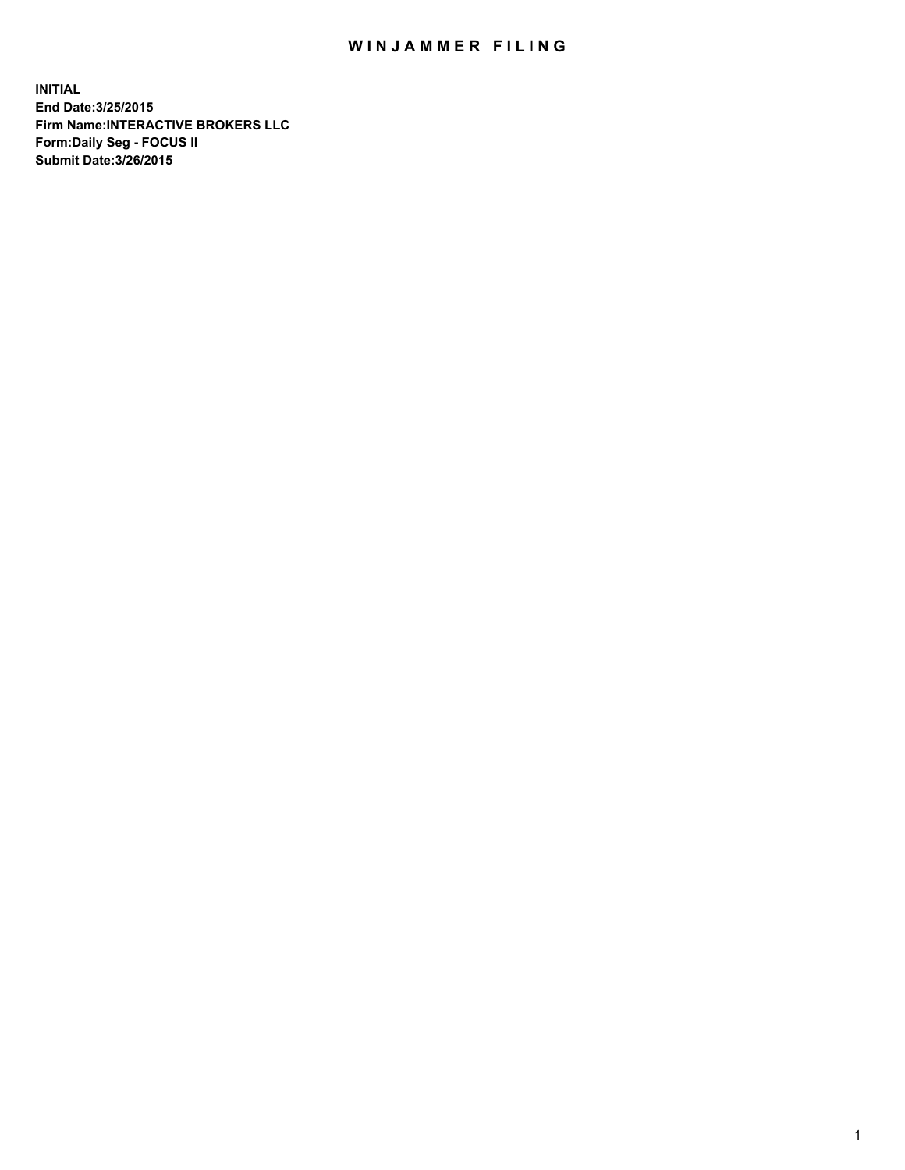## WIN JAMMER FILING

**INITIAL End Date:3/25/2015 Firm Name:INTERACTIVE BROKERS LLC Form:Daily Seg - FOCUS II Submit Date:3/26/2015**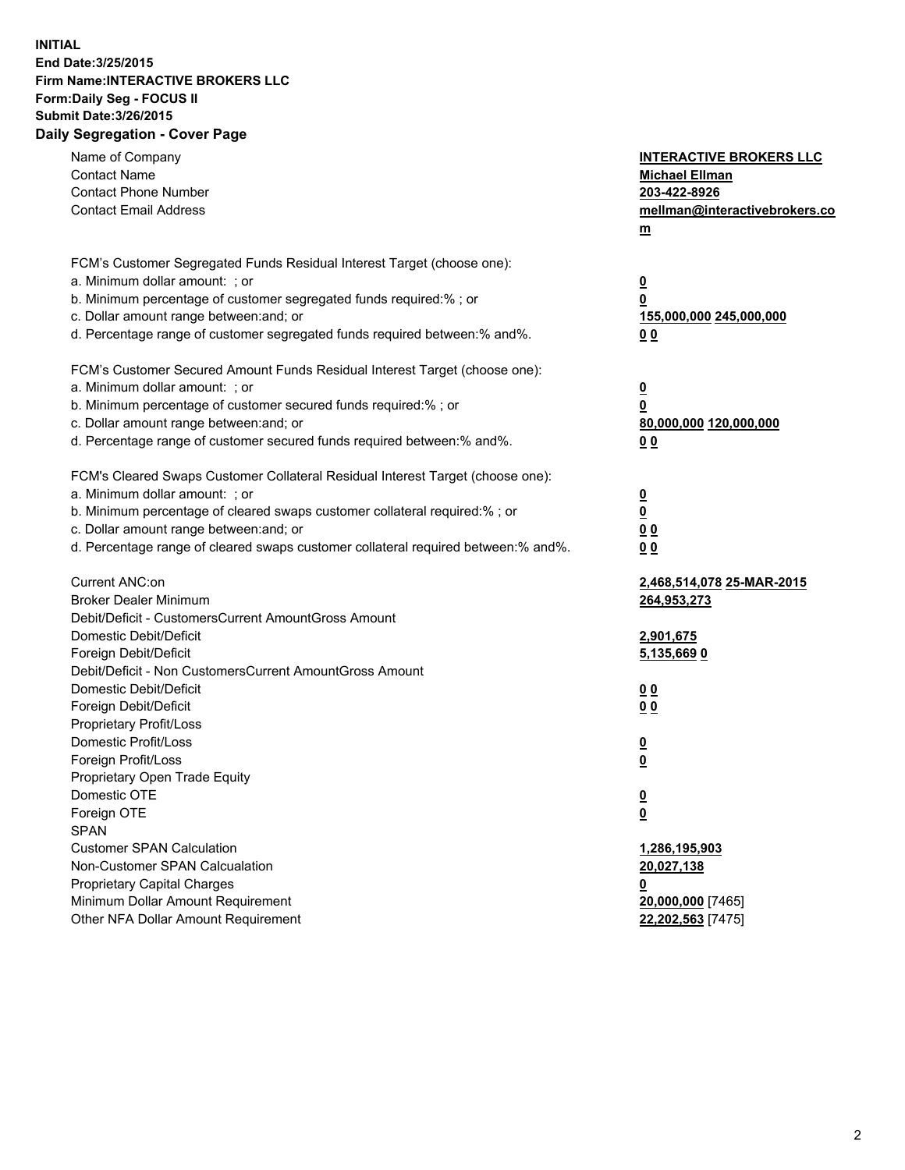## **INITIAL End Date:3/25/2015 Firm Name:INTERACTIVE BROKERS LLC Form:Daily Seg - FOCUS II Submit Date:3/26/2015 Daily Segregation - Cover Page**

| Name of Company<br><b>Contact Name</b>                                            | <b>INTERACTIVE BROKERS LLC</b><br><b>Michael Ellman</b> |
|-----------------------------------------------------------------------------------|---------------------------------------------------------|
| <b>Contact Phone Number</b>                                                       | 203-422-8926                                            |
| <b>Contact Email Address</b>                                                      | mellman@interactivebrokers.co                           |
|                                                                                   | $\underline{\mathbf{m}}$                                |
|                                                                                   |                                                         |
| FCM's Customer Segregated Funds Residual Interest Target (choose one):            |                                                         |
| a. Minimum dollar amount: ; or                                                    | $\overline{\mathbf{0}}$                                 |
| b. Minimum percentage of customer segregated funds required:% ; or                | 0                                                       |
| c. Dollar amount range between: and; or                                           | 155,000,000 245,000,000                                 |
| d. Percentage range of customer segregated funds required between:% and%.         | 00                                                      |
| FCM's Customer Secured Amount Funds Residual Interest Target (choose one):        |                                                         |
| a. Minimum dollar amount: ; or                                                    | $\overline{\mathbf{0}}$                                 |
| b. Minimum percentage of customer secured funds required:% ; or                   | 0                                                       |
| c. Dollar amount range between: and; or                                           | 80,000,000 120,000,000                                  |
| d. Percentage range of customer secured funds required between:% and%.            | 00                                                      |
|                                                                                   |                                                         |
| FCM's Cleared Swaps Customer Collateral Residual Interest Target (choose one):    |                                                         |
| a. Minimum dollar amount: ; or                                                    | $\overline{\mathbf{0}}$                                 |
| b. Minimum percentage of cleared swaps customer collateral required:% ; or        | $\underline{\mathbf{0}}$                                |
| c. Dollar amount range between: and; or                                           | 0 <sub>0</sub>                                          |
| d. Percentage range of cleared swaps customer collateral required between:% and%. | 0 <sub>0</sub>                                          |
| Current ANC:on                                                                    | 2,468,514,078 25-MAR-2015                               |
| <b>Broker Dealer Minimum</b>                                                      | 264,953,273                                             |
| Debit/Deficit - CustomersCurrent AmountGross Amount                               |                                                         |
| Domestic Debit/Deficit                                                            | 2,901,675                                               |
| Foreign Debit/Deficit                                                             | 5,135,669 0                                             |
| Debit/Deficit - Non CustomersCurrent AmountGross Amount                           |                                                         |
| Domestic Debit/Deficit                                                            | 0 <sub>0</sub>                                          |
| Foreign Debit/Deficit                                                             | 0 <sub>0</sub>                                          |
| Proprietary Profit/Loss                                                           |                                                         |
| Domestic Profit/Loss                                                              | $\overline{\mathbf{0}}$                                 |
| Foreign Profit/Loss                                                               | $\underline{\mathbf{0}}$                                |
| Proprietary Open Trade Equity                                                     |                                                         |
| Domestic OTE                                                                      | <u>0</u>                                                |
| Foreign OTE                                                                       | <u>0</u>                                                |
| <b>SPAN</b>                                                                       |                                                         |
| <b>Customer SPAN Calculation</b>                                                  | 1,286,195,903                                           |
| Non-Customer SPAN Calcualation                                                    | 20,027,138                                              |
| Proprietary Capital Charges                                                       | <u>0</u>                                                |
| Minimum Dollar Amount Requirement                                                 | 20,000,000 [7465]                                       |
| Other NFA Dollar Amount Requirement                                               | 22,202,563 [7475]                                       |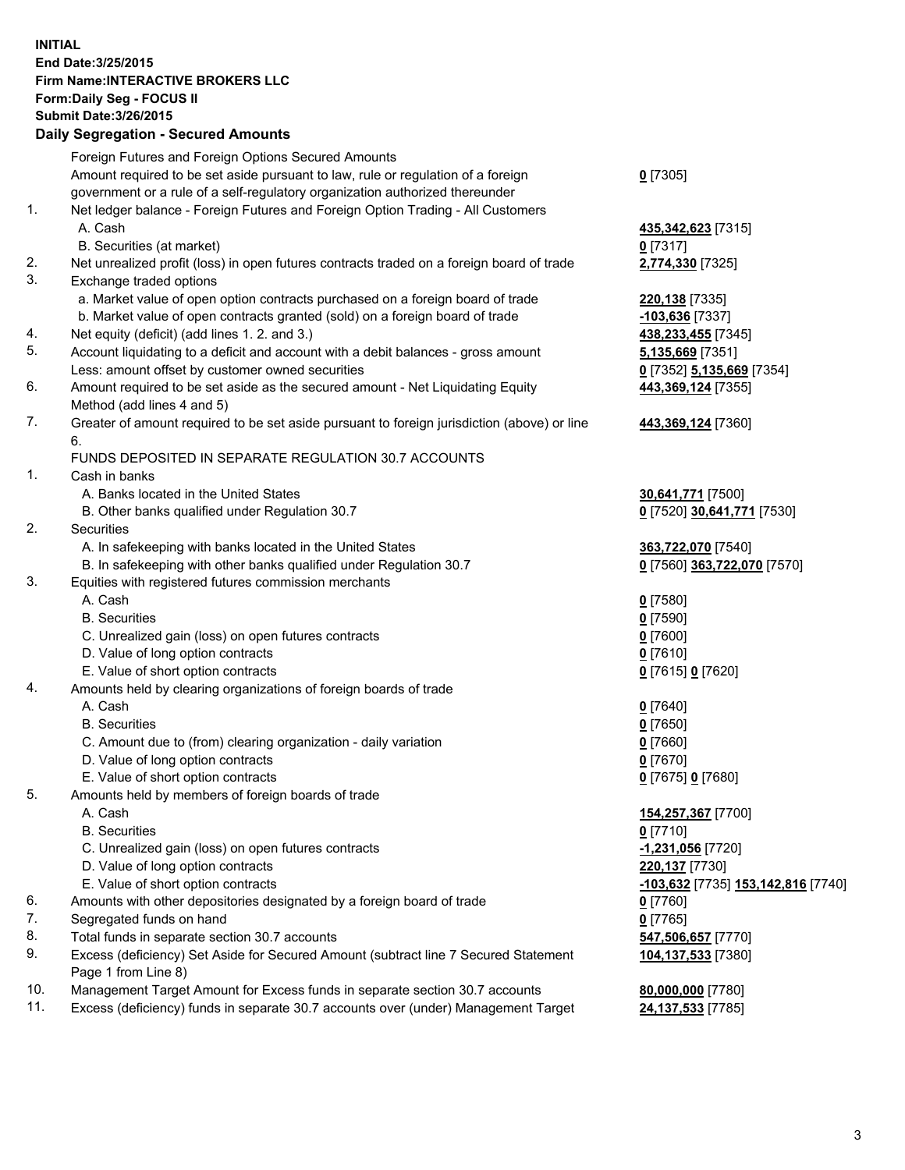## **INITIAL End Date:3/25/2015 Firm Name:INTERACTIVE BROKERS LLC Form:Daily Seg - FOCUS II Submit Date:3/26/2015 Daily Segregation - Secured Amounts**

|     | Pany Obyroganon Oboarda Annoann                                                             |                                    |
|-----|---------------------------------------------------------------------------------------------|------------------------------------|
|     | Foreign Futures and Foreign Options Secured Amounts                                         |                                    |
|     | Amount required to be set aside pursuant to law, rule or regulation of a foreign            | $0$ [7305]                         |
|     | government or a rule of a self-regulatory organization authorized thereunder                |                                    |
| 1.  | Net ledger balance - Foreign Futures and Foreign Option Trading - All Customers             |                                    |
|     | A. Cash                                                                                     | 435, 342, 623 [7315]               |
|     | B. Securities (at market)                                                                   | $0$ [7317]                         |
| 2.  | Net unrealized profit (loss) in open futures contracts traded on a foreign board of trade   | 2,774,330 [7325]                   |
| 3.  | Exchange traded options                                                                     |                                    |
|     | a. Market value of open option contracts purchased on a foreign board of trade              | 220,138 [7335]                     |
|     | b. Market value of open contracts granted (sold) on a foreign board of trade                | -103,636 [7337]                    |
| 4.  | Net equity (deficit) (add lines 1.2. and 3.)                                                | 438,233,455 [7345]                 |
| 5.  | Account liquidating to a deficit and account with a debit balances - gross amount           | 5,135,669 [7351]                   |
|     | Less: amount offset by customer owned securities                                            | 0 [7352] 5,135,669 [7354]          |
| 6.  | Amount required to be set aside as the secured amount - Net Liquidating Equity              | 443,369,124 [7355]                 |
|     | Method (add lines 4 and 5)                                                                  |                                    |
| 7.  | Greater of amount required to be set aside pursuant to foreign jurisdiction (above) or line | 443,369,124 [7360]                 |
|     | 6.<br>FUNDS DEPOSITED IN SEPARATE REGULATION 30.7 ACCOUNTS                                  |                                    |
| 1.  |                                                                                             |                                    |
|     | Cash in banks                                                                               |                                    |
|     | A. Banks located in the United States                                                       | 30,641,771 [7500]                  |
| 2.  | B. Other banks qualified under Regulation 30.7                                              | 0 [7520] 30,641,771 [7530]         |
|     | Securities                                                                                  |                                    |
|     | A. In safekeeping with banks located in the United States                                   | 363,722,070 [7540]                 |
|     | B. In safekeeping with other banks qualified under Regulation 30.7                          | 0 [7560] 363,722,070 [7570]        |
| 3.  | Equities with registered futures commission merchants                                       |                                    |
|     | A. Cash                                                                                     | $0$ [7580]                         |
|     | <b>B.</b> Securities                                                                        | $0$ [7590]                         |
|     | C. Unrealized gain (loss) on open futures contracts                                         | $0$ [7600]                         |
|     | D. Value of long option contracts                                                           | $0$ [7610]                         |
| 4.  | E. Value of short option contracts                                                          | 0 [7615] 0 [7620]                  |
|     | Amounts held by clearing organizations of foreign boards of trade                           |                                    |
|     | A. Cash<br><b>B.</b> Securities                                                             | $0$ [7640]                         |
|     |                                                                                             | $0$ [7650]                         |
|     | C. Amount due to (from) clearing organization - daily variation                             | $0$ [7660]                         |
|     | D. Value of long option contracts<br>E. Value of short option contracts                     | $0$ [7670]                         |
| 5.  |                                                                                             | 0 [7675] 0 [7680]                  |
|     | Amounts held by members of foreign boards of trade                                          |                                    |
|     | A. Cash<br><b>B.</b> Securities                                                             | 154,257,367 [7700]                 |
|     |                                                                                             | $0$ [7710]                         |
|     | C. Unrealized gain (loss) on open futures contracts<br>D. Value of long option contracts    | -1,231,056 [7720]                  |
|     | E. Value of short option contracts                                                          | 220,137 [7730]                     |
| 6.  | Amounts with other depositories designated by a foreign board of trade                      | -103,632 [7735] 153,142,816 [7740] |
| 7.  | Segregated funds on hand                                                                    | 0 [7760]                           |
| 8.  | Total funds in separate section 30.7 accounts                                               | $0$ [7765]<br>547,506,657 [7770]   |
| 9.  | Excess (deficiency) Set Aside for Secured Amount (subtract line 7 Secured Statement         |                                    |
|     | Page 1 from Line 8)                                                                         | 104,137,533 [7380]                 |
| 10. | Management Target Amount for Excess funds in separate section 30.7 accounts                 | 80,000,000 [7780]                  |
| 11. | Excess (deficiency) funds in separate 30.7 accounts over (under) Management Target          | 24,137,533 [7785]                  |
|     |                                                                                             |                                    |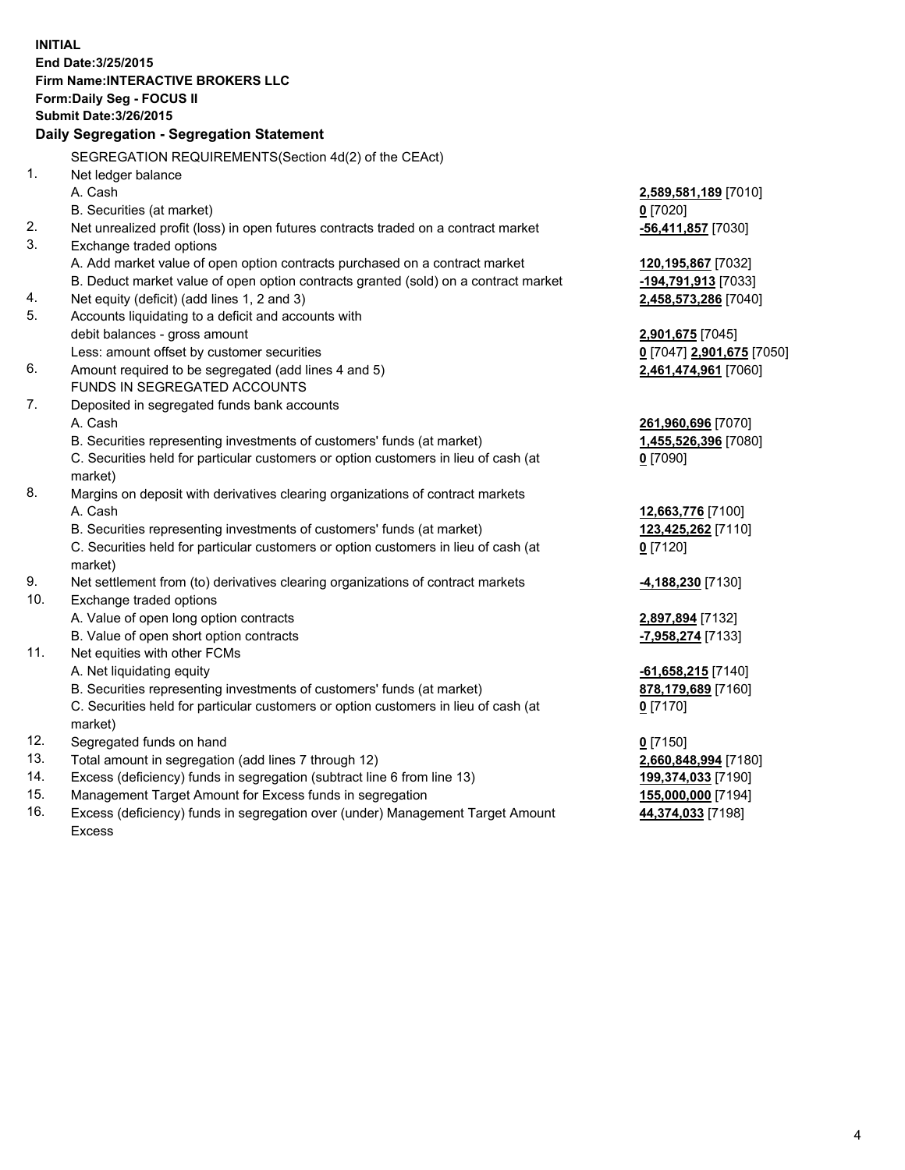**INITIAL End Date:3/25/2015 Firm Name:INTERACTIVE BROKERS LLC Form:Daily Seg - FOCUS II Submit Date:3/26/2015 Daily Segregation - Segregation Statement** SEGREGATION REQUIREMENTS(Section 4d(2) of the CEAct) 1. Net ledger balance A. Cash **2,589,581,189** [7010] B. Securities (at market) **0** [7020] 2. Net unrealized profit (loss) in open futures contracts traded on a contract market **-56,411,857** [7030] 3. Exchange traded options A. Add market value of open option contracts purchased on a contract market **120,195,867** [7032] B. Deduct market value of open option contracts granted (sold) on a contract market **-194,791,913** [7033] 4. Net equity (deficit) (add lines 1, 2 and 3) **2,458,573,286** [7040] 5. Accounts liquidating to a deficit and accounts with debit balances - gross amount **2,901,675** [7045] Less: amount offset by customer securities **0** [7047] **2,901,675** [7050] 6. Amount required to be segregated (add lines 4 and 5) **2,461,474,961** [7060] FUNDS IN SEGREGATED ACCOUNTS 7. Deposited in segregated funds bank accounts A. Cash **261,960,696** [7070] B. Securities representing investments of customers' funds (at market) **1,455,526,396** [7080] C. Securities held for particular customers or option customers in lieu of cash (at market) **0** [7090] 8. Margins on deposit with derivatives clearing organizations of contract markets A. Cash **12,663,776** [7100] B. Securities representing investments of customers' funds (at market) **123,425,262** [7110] C. Securities held for particular customers or option customers in lieu of cash (at market) **0** [7120] 9. Net settlement from (to) derivatives clearing organizations of contract markets **-4,188,230** [7130] 10. Exchange traded options A. Value of open long option contracts **2,897,894** [7132] B. Value of open short option contracts **-7,958,274** [7133] 11. Net equities with other FCMs A. Net liquidating equity **-61,658,215** [7140] B. Securities representing investments of customers' funds (at market) **878,179,689** [7160] C. Securities held for particular customers or option customers in lieu of cash (at market) **0** [7170] 12. Segregated funds on hand **0** [7150] 13. Total amount in segregation (add lines 7 through 12) **2,660,848,994** [7180] 14. Excess (deficiency) funds in segregation (subtract line 6 from line 13) **199,374,033** [7190] 15. Management Target Amount for Excess funds in segregation **155,000,000** [7194]

16. Excess (deficiency) funds in segregation over (under) Management Target Amount Excess

**44,374,033** [7198]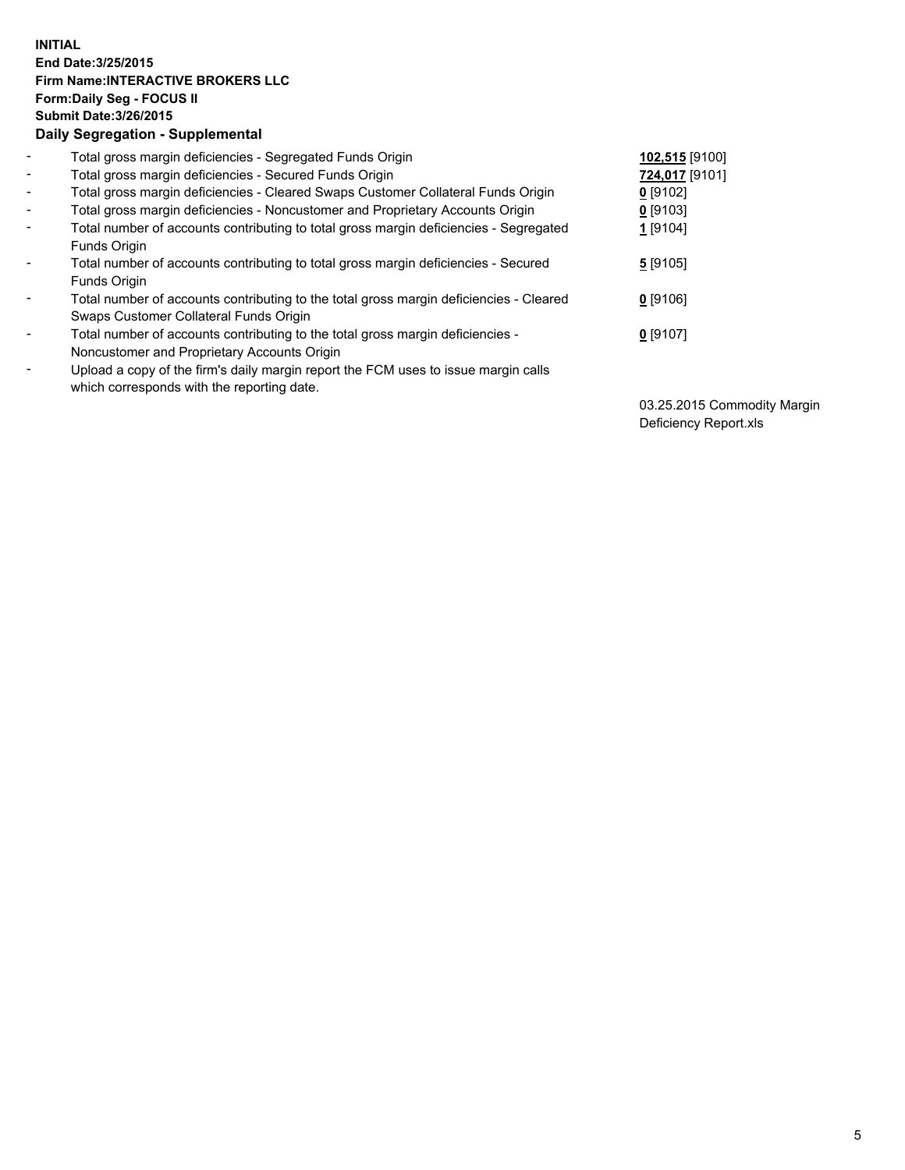## **INITIAL End Date:3/25/2015 Firm Name:INTERACTIVE BROKERS LLC Form:Daily Seg - FOCUS II Submit Date:3/26/2015 Daily Segregation - Supplemental**

| $\blacksquare$           | Total gross margin deficiencies - Segregated Funds Origin                              | 102,515 [9100] |
|--------------------------|----------------------------------------------------------------------------------------|----------------|
| $\blacksquare$           | Total gross margin deficiencies - Secured Funds Origin                                 | 724,017 [9101] |
| $\blacksquare$           | Total gross margin deficiencies - Cleared Swaps Customer Collateral Funds Origin       | $0$ [9102]     |
| $\blacksquare$           | Total gross margin deficiencies - Noncustomer and Proprietary Accounts Origin          | $0$ [9103]     |
| $\blacksquare$           | Total number of accounts contributing to total gross margin deficiencies - Segregated  | $1$ [9104]     |
|                          | Funds Origin                                                                           |                |
| $\blacksquare$           | Total number of accounts contributing to total gross margin deficiencies - Secured     | 5[9105]        |
|                          | Funds Origin                                                                           |                |
| $\overline{\phantom{a}}$ | Total number of accounts contributing to the total gross margin deficiencies - Cleared | $0$ [9106]     |
|                          | Swaps Customer Collateral Funds Origin                                                 |                |
| -                        | Total number of accounts contributing to the total gross margin deficiencies -         | $0$ [9107]     |
|                          | Noncustomer and Proprietary Accounts Origin                                            |                |
| $\blacksquare$           | Upload a copy of the firm's daily margin report the FCM uses to issue margin calls     |                |
|                          | which corresponds with the reporting date.                                             |                |

03.25.2015 Commodity Margin Deficiency Report.xls